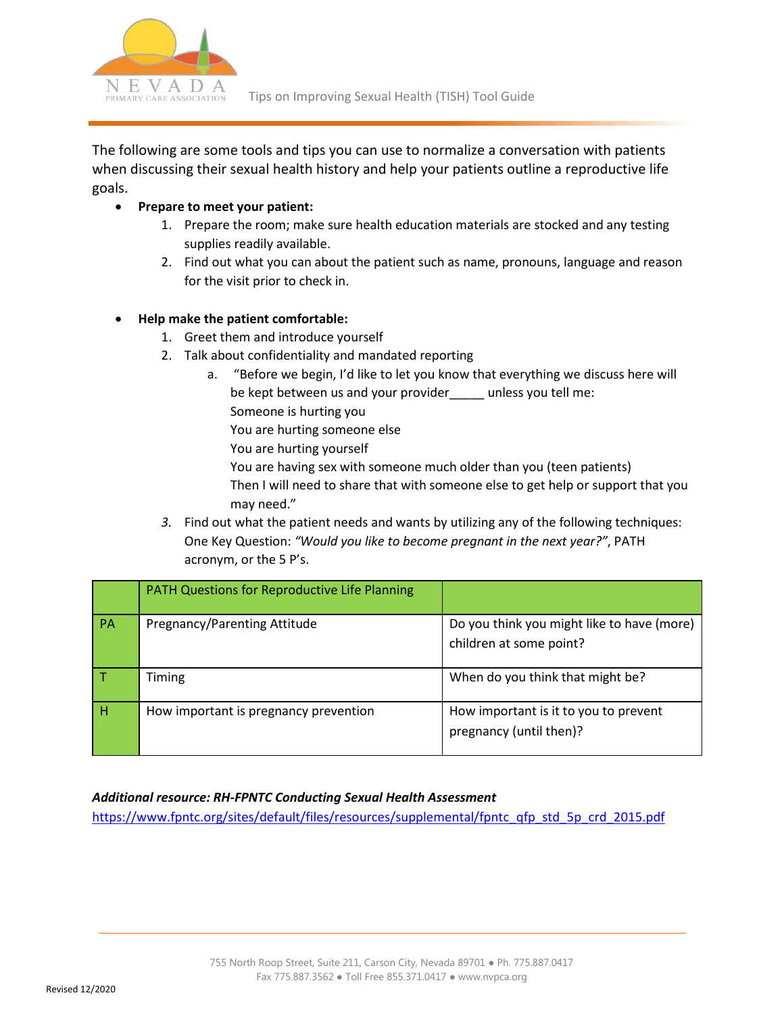

The following are some tools and tips you can use to normalize a conversation with patients when discussing their sexual health history and help your patients outline a reproductive life goals.

## • **Prepare to meet your patient:**

- 1. Prepare the room; make sure health education materials are stocked and any testing supplies readily available.
- 2. Find out what you can about the patient such as name, pronouns, language and reason for the visit prior to check in.

### • **Help make the patient comfortable:**

- 1. Greet them and introduce yourself
- 2. Talk about confidentiality and mandated reporting
	- a. "Before we begin, I'd like to let you know that everything we discuss here will be kept between us and your provider\_\_\_\_\_ unless you tell me: Someone is hurting you You are hurting someone else
		- You are hurting yourself

You are having sex with someone much older than you (teen patients) Then I will need to share that with someone else to get help or support that you

- may need."
- *3.* Find out what the patient needs and wants by utilizing any of the following techniques: One Key Question: *"Would you like to become pregnant in the next year?"*, PATH acronym, or the 5 P's.

|                 | PATH Questions for Reproductive Life Planning |                                                                       |
|-----------------|-----------------------------------------------|-----------------------------------------------------------------------|
| $\overline{PA}$ | Pregnancy/Parenting Attitude                  | Do you think you might like to have (more)<br>children at some point? |
| l T             | Timing                                        | When do you think that might be?                                      |
| H               | How important is pregnancy prevention         | How important is it to you to prevent<br>pregnancy (until then)?      |

# *Additional resource: RH-FPNTC Conducting Sexual Health Assessment*

[https://www.fpntc.org/sites/default/files/resources/supplemental/fpntc\\_qfp\\_std\\_5p\\_crd\\_2015.pdf](https://www.fpntc.org/sites/default/files/resources/supplemental/fpntc_qfp_std_5p_crd_2015.pdf)